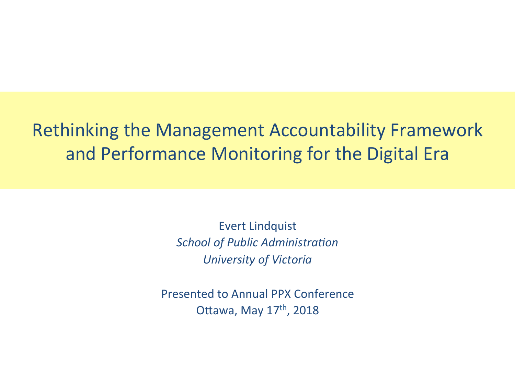### Rethinking the Management Accountability Framework and Performance Monitoring for the Digital Era

**Evert Lindquist** *School of Public Administration University of Victoria* 

Presented to Annual PPX Conference Ottawa, May  $17<sup>th</sup>$ , 2018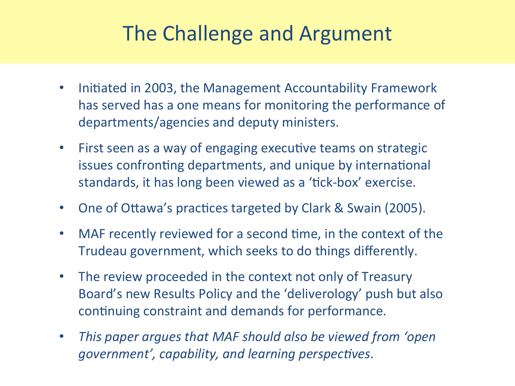# The Challenge and Argument

- Initiated in 2003, the Management Accountability Framework has served has a one means for monitoring the performance of departments/agencies and deputy ministers.
- First seen as a way of engaging executive teams on strategic issues confronting departments, and unique by international standards, it has long been viewed as a 'tick-box' exercise.
- One of Ottawa's practices targeted by Clark & Swain (2005).
- MAF recently reviewed for a second time, in the context of the Trudeau government, which seeks to do things differently.
- The review proceeded in the context not only of Treasury Board's new Results Policy and the 'deliverology' push but also continuing constraint and demands for performance.
- This paper argues that MAF should also be viewed from 'open *government', capability, and learning perspectives.*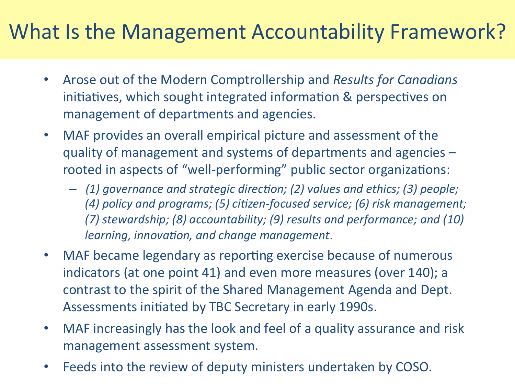## What Is the Management Accountability Framework?

- Arose out of the Modern Comptrollership and *Results for Canadians* initiatives, which sought integrated information & perspectives on management of departments and agencies.
- MAF provides an overall empirical picture and assessment of the quality of management and systems of departments and agencies rooted in aspects of "well-performing" public sector organizations:
	- (1) governance and strategic direction; (2) values and ethics; (3) people; (4) policy and programs; (5) citizen-focused service; (6) risk management; (7) stewardship; (8) accountability; (9) results and performance; and (10) *learning, innovation, and change management.*
- MAF became legendary as reporting exercise because of numerous indicators (at one point 41) and even more measures (over 140); a contrast to the spirit of the Shared Management Agenda and Dept. Assessments initiated by TBC Secretary in early 1990s.
- MAF increasingly has the look and feel of a quality assurance and risk management assessment system.
- Feeds into the review of deputy ministers undertaken by COSO.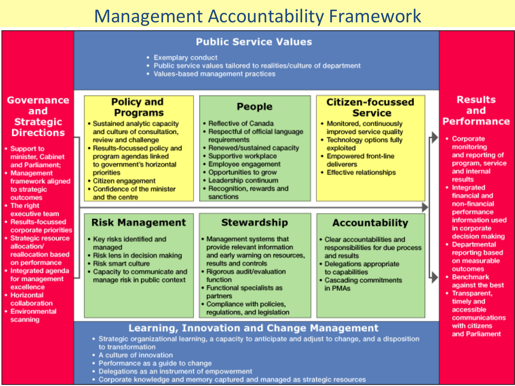#### **Management Accountability Framework**

| <b>Public Service Values</b> |  |  |  |
|------------------------------|--|--|--|
|                              |  |  |  |

- Exemplary conduct
- Public service values tailored to realities/culture of department
- Values-based management practices

| <b>Governance</b><br><b>Citizen-focussed</b><br><b>Policy and</b><br><b>People</b><br>and<br><b>Service</b><br><b>Programs</b><br><b>Strategic</b><br>• Sustained analytic capacity<br>• Reflective of Canada<br>• Monitored, continuously<br>and culture of consultation,<br>• Respectful of official language<br>improved service quality<br><b>Directions</b><br>• Corporate<br>• Technology options fully<br>review and challenge<br>requirements                                                                                                                                                                                                                                                                                                                                                                                                                                                                                                                                                                                                                                                                                        | <b>Results</b><br>and<br><b>Performance</b>                                                                                                                                    |
|----------------------------------------------------------------------------------------------------------------------------------------------------------------------------------------------------------------------------------------------------------------------------------------------------------------------------------------------------------------------------------------------------------------------------------------------------------------------------------------------------------------------------------------------------------------------------------------------------------------------------------------------------------------------------------------------------------------------------------------------------------------------------------------------------------------------------------------------------------------------------------------------------------------------------------------------------------------------------------------------------------------------------------------------------------------------------------------------------------------------------------------------|--------------------------------------------------------------------------------------------------------------------------------------------------------------------------------|
| · Renewed/sustained capacity<br>• Results-focussed policy and<br>exploited<br>Support to<br>· Supportive workplace<br>• Empowered front-line<br>program agendas linked<br>minister, Cabinet<br>Employee engagement<br>deliverers<br>to government's horizontal<br>and Parliament;<br>• Opportunities to grow<br>• Effective relationships<br>priorities<br>Management<br>results<br>• Leadership continuum<br>• Citizen engagement<br>framework aligned<br>• Integrated<br>· Recognition, rewards and<br>• Confidence of the minister<br>to strategic<br>sanctions<br>and the centre<br>outcomes                                                                                                                                                                                                                                                                                                                                                                                                                                                                                                                                             | monitoring<br>and reporting of<br>program, service<br>and internal<br>financial and                                                                                            |
| The right<br>executive team<br><b>Stewardship</b><br><b>Risk Management</b><br><b>Accountability</b><br><b>Results-focussed</b><br>corporate priorities<br><b>Strategic resource</b><br>• Key risks identified and<br>• Management systems that<br>• Clear accountabilities and<br>• Departmental<br>allocation/<br>provide relevant information<br>managed<br>responsibilities for due process<br>reallocation based<br>• Risk lens in decision making<br>and early warning on resources,<br>and results<br>on performance<br>results and controls<br>• Risk smart culture<br>· Delegations appropriate<br>outcomes<br>Integrated agenda<br>• Capacity to communicate and<br>· Rigorous audit/evaluation<br>to capabilities<br><b>Benchmark</b><br>for management<br>manage risk in public context<br>function<br>• Cascading commitments<br>excellence<br>• Functional specialists as<br>in PMAs<br>• Transparent,<br>Horizontal<br>partners<br>timely and<br>collaboration<br>• Compliance with policies,<br>accessible<br>Environmental<br>regulations, and legislation<br>scanning<br><b>Learning, Innovation and Change Management</b> | non-financial<br>performance<br>information used<br>in corporate<br>decision making<br>reporting based<br>on measurable<br>against the best<br>communications<br>with citizens |

- Strategic organizational learning, a capacity to anticipate and adjust to change, and a disposition to transformation
- A culture of innovation

 $\cdot$  Su mi an • M: fra to ou  $\cdot$  Th ex  $\cdot$  Re co  $\cdot$  St all re on • Int for ex • Ho co • En SC.

- Performance as a guide to change
- Delegations as an instrument of empowerment
- Corporate knowledge and memory captured and managed as strategic resources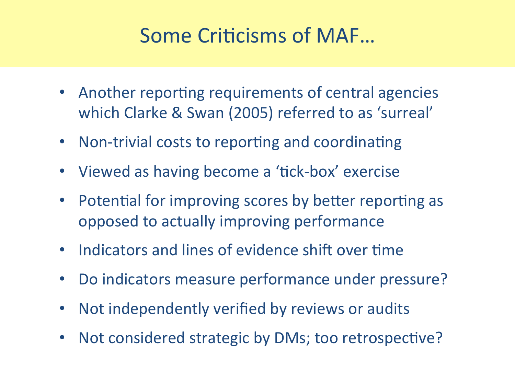# Some Criticisms of MAF...

- Another reporting requirements of central agencies which Clarke & Swan (2005) referred to as 'surreal'
- Non-trivial costs to reporting and coordinating
- Viewed as having become a 'tick-box' exercise
- Potential for improving scores by better reporting as opposed to actually improving performance
- Indicators and lines of evidence shift over time
- Do indicators measure performance under pressure?
- Not independently verified by reviews or audits
- Not considered strategic by DMs; too retrospective?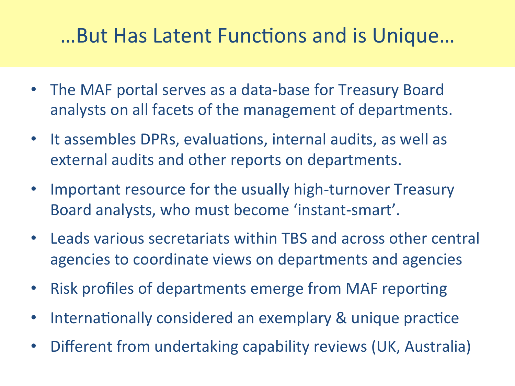## ...But Has Latent Functions and is Unique...

- The MAF portal serves as a data-base for Treasury Board analysts on all facets of the management of departments.
- It assembles DPRs, evaluations, internal audits, as well as external audits and other reports on departments.
- Important resource for the usually high-turnover Treasury Board analysts, who must become 'instant-smart'.
- Leads various secretariats within TBS and across other central agencies to coordinate views on departments and agencies
- Risk profiles of departments emerge from MAF reporting
- Internationally considered an exemplary & unique practice
- Different from undertaking capability reviews (UK, Australia)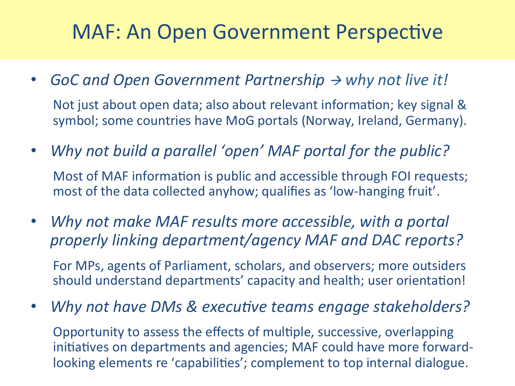## MAF: An Open Government Perspective

- *GoC* and Open Government Partnership  $\rightarrow$  why not live it! Not just about open data; also about relevant information; key signal & symbol; some countries have MoG portals (Norway, Ireland, Germany).
- Why not build a parallel 'open' MAF portal for the public? Most of MAF information is public and accessible through FOI requests; most of the data collected anyhow; qualifies as 'low-hanging fruit'.
- Why not make MAF results more accessible, with a portal *properly linking department/agency MAF and DAC reports?*

For MPs, agents of Parliament, scholars, and observers; more outsiders should understand departments' capacity and health; user orientation!

• Why not have DMs & executive teams engage stakeholders?

Opportunity to assess the effects of multiple, successive, overlapping initiatives on departments and agencies; MAF could have more forwardlooking elements re 'capabilities'; complement to top internal dialogue.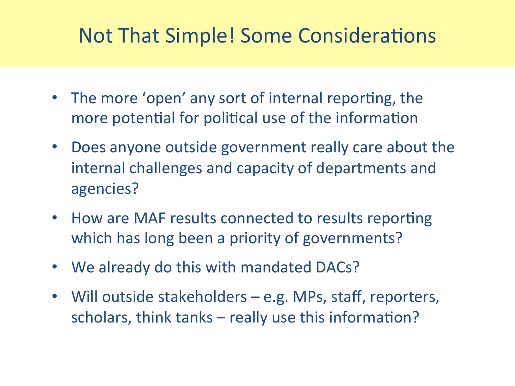## Not That Simple! Some Considerations

- The more 'open' any sort of internal reporting, the more potential for political use of the information
- Does anyone outside government really care about the internal challenges and capacity of departments and agencies?
- How are MAF results connected to results reporting which has long been a priority of governments?
- We already do this with mandated DACs?
- Will outside stakeholders e.g. MPs, staff, reporters, scholars, think tanks  $-$  really use this information?